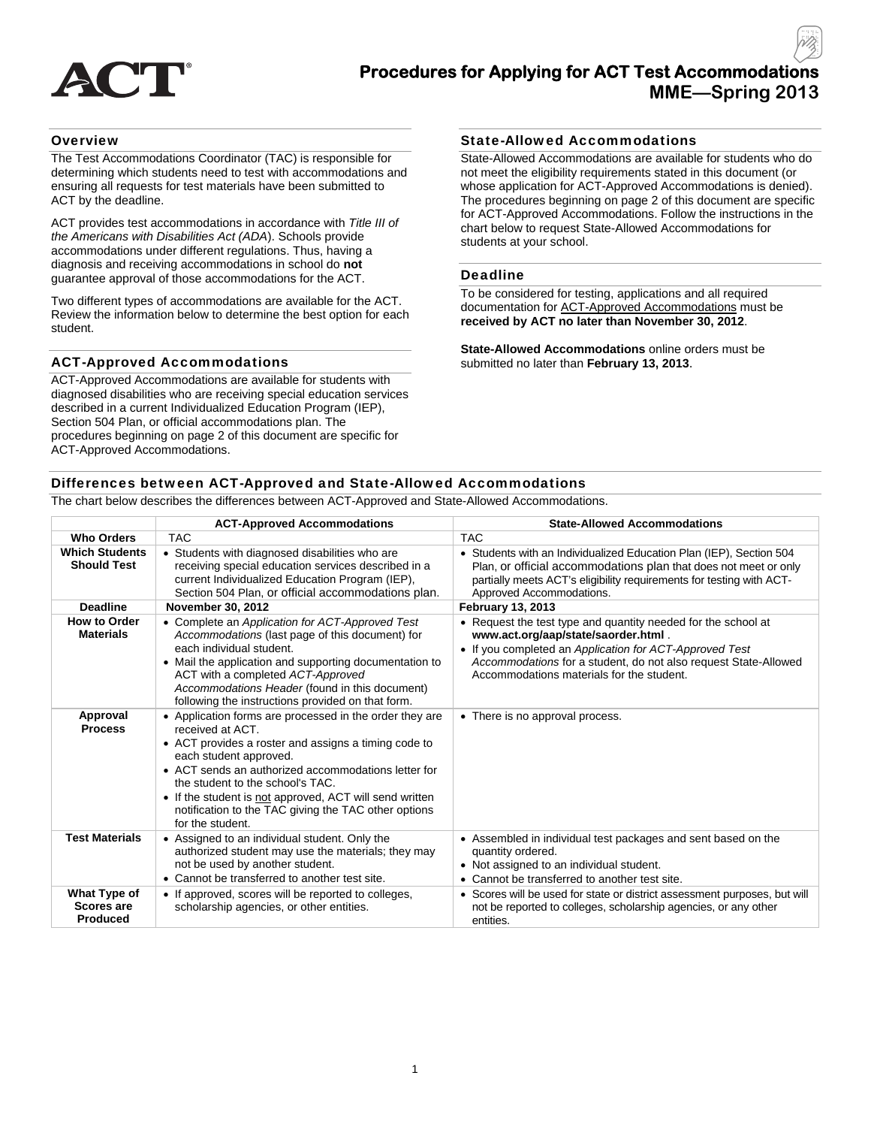

## **Procedures for Applying for ACT Test Accommodations MME—Spring 2013**

## **Overview**

The Test Accommodations Coordinator (TAC) is responsible for determining which students need to test with accommodations and ensuring all requests for test materials have been submitted to ACT by the deadline.

ACT provides test accommodations in accordance with *Title III of the Americans with Disabilities Act (ADA*). Schools provide accommodations under different regulations. Thus, having a diagnosis and receiving accommodations in school do **not** guarantee approval of those accommodations for the ACT.

Two different types of accommodations are available for the ACT. Review the information below to determine the best option for each student.

## ACT-Approved Accommodations

ACT-Approved Accommodations are available for students with diagnosed disabilities who are receiving special education services described in a current Individualized Education Program (IEP), Section 504 Plan, or official accommodations plan. The procedures beginning on page 2 of this document are specific for ACT-Approved Accommodations.

## State-Allowed Accommodations

State-Allowed Accommodations are available for students who do not meet the eligibility requirements stated in this document (or whose application for ACT-Approved Accommodations is denied). The procedures beginning on page 2 of this document are specific for ACT-Approved Accommodations. Follow the instructions in the chart below to request State-Allowed Accommodations for students at your school.

#### Deadline

To be considered for testing, applications and all required documentation for ACT-Approved Accommodations must be **received by ACT no later than November 30, 2012**.

**State-Allowed Accommodations** online orders must be submitted no later than **February 13, 2013**.

## Differences between ACT-Approved and State-Allowed Accommodations

The chart below describes the differences between ACT-Approved and State-Allowed Accommodations.

|                                               | <b>ACT-Approved Accommodations</b>                                                                                                                                                                                                                                                                                                                                                              | <b>State-Allowed Accommodations</b>                                                                                                                                                                                                                                            |
|-----------------------------------------------|-------------------------------------------------------------------------------------------------------------------------------------------------------------------------------------------------------------------------------------------------------------------------------------------------------------------------------------------------------------------------------------------------|--------------------------------------------------------------------------------------------------------------------------------------------------------------------------------------------------------------------------------------------------------------------------------|
| <b>Who Orders</b>                             | <b>TAC</b>                                                                                                                                                                                                                                                                                                                                                                                      | <b>TAC</b>                                                                                                                                                                                                                                                                     |
| <b>Which Students</b><br><b>Should Test</b>   | • Students with diagnosed disabilities who are<br>receiving special education services described in a<br>current Individualized Education Program (IEP),<br>Section 504 Plan, or official accommodations plan.                                                                                                                                                                                  | • Students with an Individualized Education Plan (IEP), Section 504<br>Plan, or official accommodations plan that does not meet or only<br>partially meets ACT's eligibility requirements for testing with ACT-<br>Approved Accommodations.                                    |
| <b>Deadline</b>                               | <b>November 30, 2012</b>                                                                                                                                                                                                                                                                                                                                                                        | <b>February 13, 2013</b>                                                                                                                                                                                                                                                       |
| <b>How to Order</b><br><b>Materials</b>       | • Complete an Application for ACT-Approved Test<br>Accommodations (last page of this document) for<br>each individual student.<br>• Mail the application and supporting documentation to<br>ACT with a completed ACT-Approved<br>Accommodations Header (found in this document)<br>following the instructions provided on that form.                                                            | • Request the test type and quantity needed for the school at<br>www.act.org/aap/state/saorder.html<br>• If you completed an Application for ACT-Approved Test<br>Accommodations for a student, do not also request State-Allowed<br>Accommodations materials for the student. |
| Approval<br><b>Process</b>                    | • Application forms are processed in the order they are<br>received at ACT.<br>• ACT provides a roster and assigns a timing code to<br>each student approved.<br>• ACT sends an authorized accommodations letter for<br>the student to the school's TAC.<br>• If the student is not approved, ACT will send written<br>notification to the TAC giving the TAC other options<br>for the student. | • There is no approval process.                                                                                                                                                                                                                                                |
| <b>Test Materials</b>                         | • Assigned to an individual student. Only the<br>authorized student may use the materials; they may<br>not be used by another student.<br>• Cannot be transferred to another test site.                                                                                                                                                                                                         | • Assembled in individual test packages and sent based on the<br>quantity ordered.<br>• Not assigned to an individual student.<br>• Cannot be transferred to another test site.                                                                                                |
| What Type of<br><b>Scores are</b><br>Produced | • If approved, scores will be reported to colleges,<br>scholarship agencies, or other entities.                                                                                                                                                                                                                                                                                                 | • Scores will be used for state or district assessment purposes, but will<br>not be reported to colleges, scholarship agencies, or any other<br>entities.                                                                                                                      |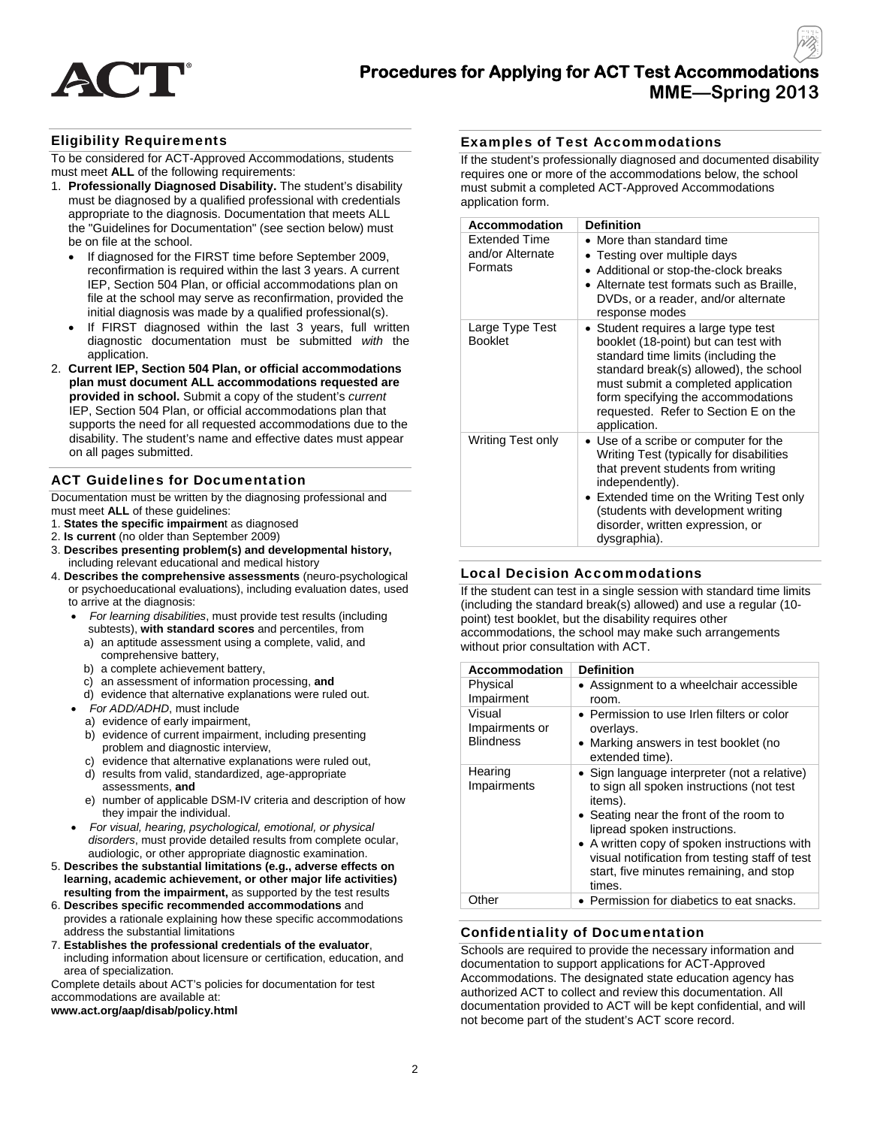

## **Procedures for Applying for ACT Test Accommodations MME—Spring 2013**

## Eligibility Requirements

To be considered for ACT-Approved Accommodations, students must meet **ALL** of the following requirements:

- 1. **Professionally Diagnosed Disability.** The student's disability must be diagnosed by a qualified professional with credentials appropriate to the diagnosis. Documentation that meets ALL the "Guidelines for Documentation" (see section below) must be on file at the school.
	- If diagnosed for the FIRST time before September 2009, reconfirmation is required within the last 3 years. A current IEP, Section 504 Plan, or official accommodations plan on file at the school may serve as reconfirmation, provided the initial diagnosis was made by a qualified professional(s).
	- If FIRST diagnosed within the last 3 years, full written diagnostic documentation must be submitted *with* the application.
- 2. **Current IEP, Section 504 Plan, or official accommodations plan must document ALL accommodations requested are provided in school.** Submit a copy of the student's *current*  IEP, Section 504 Plan, or official accommodations plan that supports the need for all requested accommodations due to the disability. The student's name and effective dates must appear on all pages submitted.

## ACT Guidelines for Documentation

Documentation must be written by the diagnosing professional and must meet **ALL** of these guidelines:

- 1. **States the specific impairmen**t as diagnosed
- 2. **Is current** (no older than September 2009)
- 3. **Describes presenting problem(s) and developmental history,** including relevant educational and medical history
- 4. **Describes the comprehensive assessments** (neuro-psychological or psychoeducational evaluations), including evaluation dates, used to arrive at the diagnosis:
	- *For learning disabilities*, must provide test results (including subtests), **with standard scores** and percentiles, from
	- a) an aptitude assessment using a complete, valid, and comprehensive battery,
	- b) a complete achievement battery,
	- c) an assessment of information processing, **and**
	- d) evidence that alternative explanations were ruled out.
	- *For ADD/ADHD*, must include
		- a) evidence of early impairment,
		- b) evidence of current impairment, including presenting problem and diagnostic interview,
		- c) evidence that alternative explanations were ruled out,
		- d) results from valid, standardized, age-appropriate assessments, **and**
		- e) number of applicable DSM-IV criteria and description of how they impair the individual.
	- *For visual, hearing, psychological, emotional, or physical disorders*, must provide detailed results from complete ocular, audiologic, or other appropriate diagnostic examination.
- 5. **Describes the substantial limitations (e.g., adverse effects on learning, academic achievement, or other major life activities) resulting from the impairment,** as supported by the test results
- 6. **Describes specific recommended accommodations** and provides a rationale explaining how these specific accommodations address the substantial limitations
- 7. **Establishes the professional credentials of the evaluator**, including information about licensure or certification, education, and area of specialization.

Complete details about ACT's policies for documentation for test accommodations are available at:

#### **www.act.org/aap/disab/policy.html**

#### Examples of Test Accommodations

If the student's professionally diagnosed and documented disability requires one or more of the accommodations below, the school must submit a completed ACT-Approved Accommodations application form.

| <b>Accommodation</b>                                | <b>Definition</b>                                                                                                                                                                                                                                                                                             |
|-----------------------------------------------------|---------------------------------------------------------------------------------------------------------------------------------------------------------------------------------------------------------------------------------------------------------------------------------------------------------------|
| <b>Extended Time</b><br>and/or Alternate<br>Formats | • More than standard time<br>• Testing over multiple days<br>• Additional or stop-the-clock breaks<br>• Alternate test formats such as Braille,<br>DVDs, or a reader, and/or alternate<br>response modes                                                                                                      |
| Large Type Test<br><b>Booklet</b>                   | Student requires a large type test<br>$\bullet$<br>booklet (18-point) but can test with<br>standard time limits (including the<br>standard break(s) allowed), the school<br>must submit a completed application<br>form specifying the accommodations<br>requested. Refer to Section E on the<br>application. |
| Writing Test only                                   | • Use of a scribe or computer for the<br>Writing Test (typically for disabilities<br>that prevent students from writing<br>independently).<br>• Extended time on the Writing Test only<br>(students with development writing<br>disorder, written expression, or<br>dysgraphia).                              |

#### Local Decision Accommodations

If the student can test in a single session with standard time limits (including the standard break(s) allowed) and use a regular (10 point) test booklet, but the disability requires other accommodations, the school may make such arrangements without prior consultation with ACT.

| <b>Accommodation</b>                         | <b>Definition</b>                                                                                                                                                                                                                                                                                                                      |
|----------------------------------------------|----------------------------------------------------------------------------------------------------------------------------------------------------------------------------------------------------------------------------------------------------------------------------------------------------------------------------------------|
| Physical<br>Impairment                       | • Assignment to a wheelchair accessible<br>room.                                                                                                                                                                                                                                                                                       |
| Visual<br>Impairments or<br><b>Blindness</b> | • Permission to use Irlen filters or color<br>overlays.<br>• Marking answers in test booklet (no<br>extended time).                                                                                                                                                                                                                    |
| Hearing<br>Impairments                       | • Sign language interpreter (not a relative)<br>to sign all spoken instructions (not test<br>items).<br>• Seating near the front of the room to<br>lipread spoken instructions.<br>• A written copy of spoken instructions with<br>visual notification from testing staff of test<br>start, five minutes remaining, and stop<br>times. |
| Other                                        | • Permission for diabetics to eat snacks.                                                                                                                                                                                                                                                                                              |

## Confidentiality of Documentation

Schools are required to provide the necessary information and documentation to support applications for ACT-Approved Accommodations. The designated state education agency has authorized ACT to collect and review this documentation. All documentation provided to ACT will be kept confidential, and will not become part of the student's ACT score record.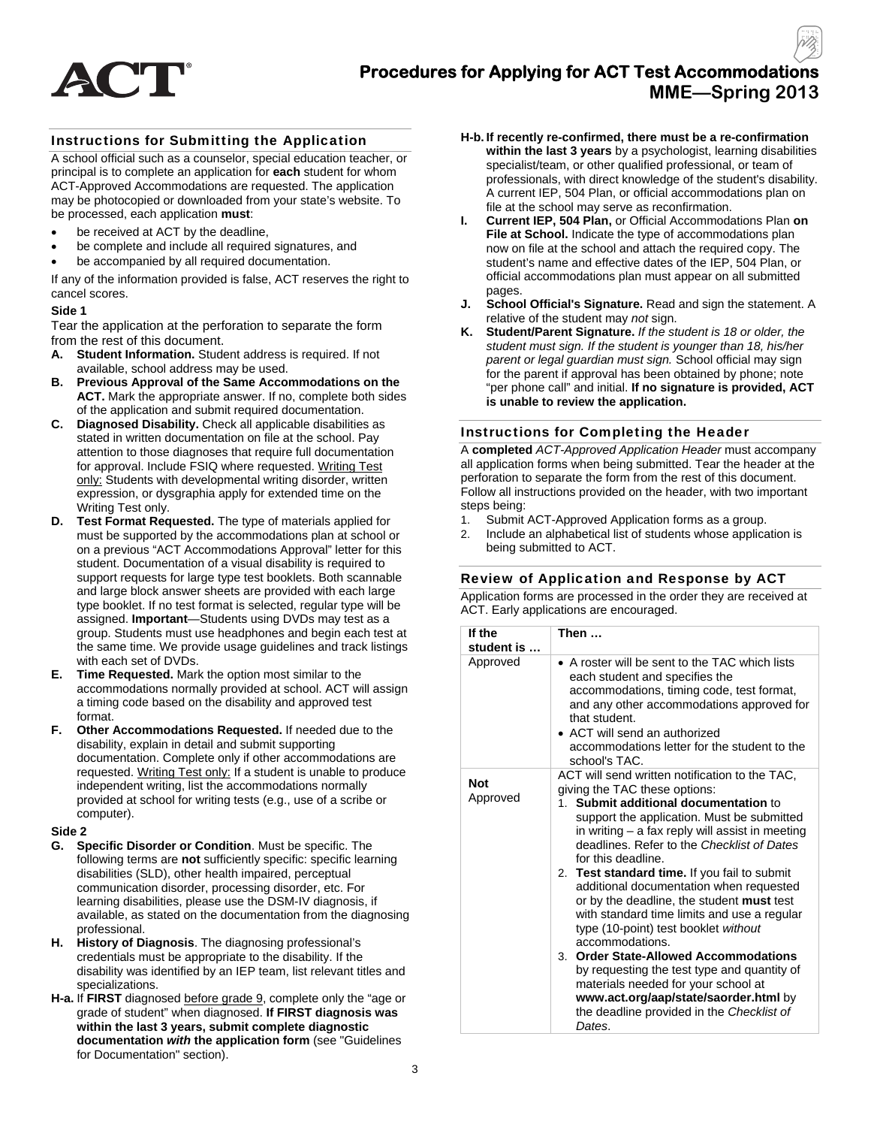

## Instructions for Submitting the Application

A school official such as a counselor, special education teacher, or principal is to complete an application for **each** student for whom ACT-Approved Accommodations are requested. The application may be photocopied or downloaded from your state's website. To be processed, each application **must**:

- be received at ACT by the deadline,
- be complete and include all required signatures, and
- be accompanied by all required documentation.

If any of the information provided is false, ACT reserves the right to cancel scores.

#### **Side 1**

Tear the application at the perforation to separate the form from the rest of this document.

- **A. Student Information.** Student address is required. If not available, school address may be used.
- **B. Previous Approval of the Same Accommodations on the ACT.** Mark the appropriate answer. If no, complete both sides of the application and submit required documentation.
- **C. Diagnosed Disability.** Check all applicable disabilities as stated in written documentation on file at the school. Pay attention to those diagnoses that require full documentation for approval. Include FSIQ where requested. Writing Test only: Students with developmental writing disorder, written expression, or dysgraphia apply for extended time on the Writing Test only.
- **D. Test Format Requested.** The type of materials applied for must be supported by the accommodations plan at school or on a previous "ACT Accommodations Approval" letter for this student. Documentation of a visual disability is required to support requests for large type test booklets. Both scannable and large block answer sheets are provided with each large type booklet. If no test format is selected, regular type will be assigned. **Important**—Students using DVDs may test as a group. Students must use headphones and begin each test at the same time. We provide usage guidelines and track listings with each set of DVDs.
- **E. Time Requested.** Mark the option most similar to the accommodations normally provided at school. ACT will assign a timing code based on the disability and approved test format.
- **F. Other Accommodations Requested.** If needed due to the disability, explain in detail and submit supporting documentation. Complete only if other accommodations are requested. Writing Test only: If a student is unable to produce independent writing, list the accommodations normally provided at school for writing tests (e.g., use of a scribe or computer).

#### **Side 2**

- **G. Specific Disorder or Condition**. Must be specific. The following terms are **not** sufficiently specific: specific learning disabilities (SLD), other health impaired, perceptual communication disorder, processing disorder, etc. For learning disabilities, please use the DSM-IV diagnosis, if available, as stated on the documentation from the diagnosing professional.
- **H. History of Diagnosis**. The diagnosing professional's credentials must be appropriate to the disability. If the disability was identified by an IEP team, list relevant titles and specializations.
- **H-a.** If **FIRST** diagnosed before grade 9, complete only the "age or grade of student" when diagnosed. **If FIRST diagnosis was within the last 3 years, submit complete diagnostic documentation** *with* **the application form** (see "Guidelines for Documentation" section).
- **H-b. If recently re-confirmed, there must be a re-confirmation within the last 3 years** by a psychologist, learning disabilities specialist/team, or other qualified professional, or team of professionals, with direct knowledge of the student's disability. A current IEP, 504 Plan, or official accommodations plan on file at the school may serve as reconfirmation.
- **I. Current IEP, 504 Plan,** or Official Accommodations Plan **on File at School.** Indicate the type of accommodations plan now on file at the school and attach the required copy. The student's name and effective dates of the IEP, 504 Plan, or official accommodations plan must appear on all submitted pages.
- **J. School Official's Signature.** Read and sign the statement. A relative of the student may *not* sign.
- **K. Student/Parent Signature.** *If the student is 18 or older, the student must sign. If the student is younger than 18, his/her parent or legal guardian must sign.* School official may sign for the parent if approval has been obtained by phone; note "per phone call" and initial. **If no signature is provided, ACT is unable to review the application.**

#### Instructions for Completing the Header

A **completed** *ACT-Approved Application Header* must accompany all application forms when being submitted. Tear the header at the perforation to separate the form from the rest of this document. Follow all instructions provided on the header, with two important steps being:

- 1. Submit ACT-Approved Application forms as a group.
- 2. Include an alphabetical list of students whose application is being submitted to ACT.

#### Review of Application and Response by ACT

Application forms are processed in the order they are received at ACT. Early applications are encouraged.

| If the<br>Then …<br>student is |                                                                                                                                                                                                                                                                                                                                                                                                                                                                                                                                                                                                                                                                                                                                                                                                         |  |  |  |
|--------------------------------|---------------------------------------------------------------------------------------------------------------------------------------------------------------------------------------------------------------------------------------------------------------------------------------------------------------------------------------------------------------------------------------------------------------------------------------------------------------------------------------------------------------------------------------------------------------------------------------------------------------------------------------------------------------------------------------------------------------------------------------------------------------------------------------------------------|--|--|--|
| Approved                       | • A roster will be sent to the TAC which lists<br>each student and specifies the<br>accommodations, timing code, test format,<br>and any other accommodations approved for<br>that student.<br>• ACT will send an authorized<br>accommodations letter for the student to the<br>school's TAC.                                                                                                                                                                                                                                                                                                                                                                                                                                                                                                           |  |  |  |
| <b>Not</b><br>Approved         | ACT will send written notification to the TAC,<br>giving the TAC these options:<br>Submit additional documentation to<br>$1_{-}$<br>support the application. Must be submitted<br>in writing – a fax reply will assist in meeting<br>deadlines. Refer to the Checklist of Dates<br>for this deadline.<br>2. Test standard time. If you fail to submit<br>additional documentation when requested<br>or by the deadline, the student <b>must</b> test<br>with standard time limits and use a regular<br>type (10-point) test booklet without<br>accommodations.<br><b>Order State-Allowed Accommodations</b><br>3.<br>by requesting the test type and quantity of<br>materials needed for your school at<br>www.act.org/aap/state/saorder.html by<br>the deadline provided in the Checklist of<br>Dates. |  |  |  |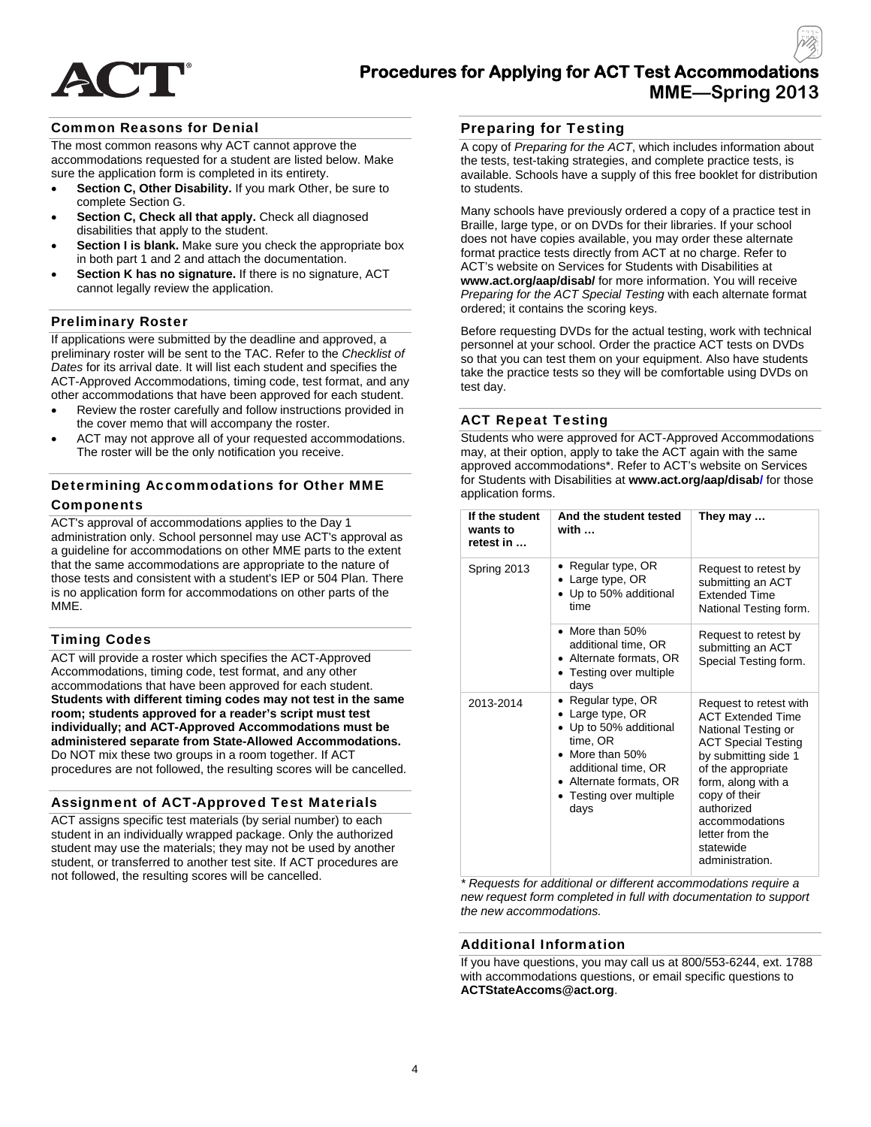

## Common Reasons for Denial

The most common reasons why ACT cannot approve the accommodations requested for a student are listed below. Make sure the application form is completed in its entirety.

- **Section C, Other Disability.** If you mark Other, be sure to complete Section G.
- **Section C, Check all that apply.** Check all diagnosed disabilities that apply to the student.
- **Section I is blank.** Make sure you check the appropriate box in both part 1 and 2 and attach the documentation.
- **Section K has no signature.** If there is no signature, ACT cannot legally review the application.

## Preliminary Roster

If applications were submitted by the deadline and approved, a preliminary roster will be sent to the TAC. Refer to the *Checklist of Dates* for its arrival date. It will list each student and specifies the ACT-Approved Accommodations, timing code, test format, and any other accommodations that have been approved for each student.

- Review the roster carefully and follow instructions provided in the cover memo that will accompany the roster.
- ACT may not approve all of your requested accommodations. The roster will be the only notification you receive.

## Determining Accommodations for Other MME Components

ACT's approval of accommodations applies to the Day 1 administration only. School personnel may use ACT's approval as a guideline for accommodations on other MME parts to the extent that the same accommodations are appropriate to the nature of those tests and consistent with a student's IEP or 504 Plan. There is no application form for accommodations on other parts of the MME.

## Timing Codes

ACT will provide a roster which specifies the ACT-Approved Accommodations, timing code, test format, and any other accommodations that have been approved for each student. **Students with different timing codes may not test in the same room; students approved for a reader's script must test individually; and ACT-Approved Accommodations must be administered separate from State-Allowed Accommodations.**  Do NOT mix these two groups in a room together. If ACT procedures are not followed, the resulting scores will be cancelled.

## Assignment of ACT-Approved Test Materials

ACT assigns specific test materials (by serial number) to each student in an individually wrapped package. Only the authorized student may use the materials; they may not be used by another student, or transferred to another test site. If ACT procedures are not followed, the resulting scores will be cancelled.

## Preparing for Testing

A copy of *Preparing for the ACT*, which includes information about the tests, test-taking strategies, and complete practice tests, is available. Schools have a supply of this free booklet for distribution to students.

Many schools have previously ordered a copy of a practice test in Braille, large type, or on DVDs for their libraries. If your school does not have copies available, you may order these alternate format practice tests directly from ACT at no charge. Refer to ACT's website on Services for Students with Disabilities at **www.act.org/aap/disab/** for more information. You will receive *Preparing for the ACT Special Testing* with each alternate format ordered; it contains the scoring keys.

Before requesting DVDs for the actual testing, work with technical personnel at your school. Order the practice ACT tests on DVDs so that you can test them on your equipment. Also have students take the practice tests so they will be comfortable using DVDs on test day.

## ACT Repeat Testing

Students who were approved for ACT-Approved Accommodations may, at their option, apply to take the ACT again with the same approved accommodations\*. Refer to ACT's website on Services for Students with Disabilities at **www.act.org/aap/disab/** for those application forms.

| If the student<br>wants to<br>retest in | And the student tested<br>with                                                                                                                                                         | They may                                                                                                                                                                                                                                                                        |
|-----------------------------------------|----------------------------------------------------------------------------------------------------------------------------------------------------------------------------------------|---------------------------------------------------------------------------------------------------------------------------------------------------------------------------------------------------------------------------------------------------------------------------------|
| Spring 2013                             | Regular type, OR<br>Large type, OR<br>• Up to 50% additional<br>time                                                                                                                   | Request to retest by<br>submitting an ACT<br><b>Extended Time</b><br>National Testing form.                                                                                                                                                                                     |
|                                         | $\bullet$ More than 50%<br>additional time, OR<br>• Alternate formats, OR<br>• Testing over multiple<br>days                                                                           | Request to retest by<br>submitting an ACT<br>Special Testing form.                                                                                                                                                                                                              |
| 2013-2014                               | • Regular type, $OR$<br>• Large type, OR<br>• Up to 50% additional<br>time, OR<br>• More than 50%<br>additional time, OR<br>• Alternate formats, OR<br>• Testing over multiple<br>days | Request to retest with<br><b>ACT Extended Time</b><br>National Testing or<br><b>ACT Special Testing</b><br>by submitting side 1<br>of the appropriate<br>form, along with a<br>copy of their<br>authorized<br>accommodations<br>letter from the<br>statewide<br>administration. |

*\* Requests for additional or different accommodations require a new request form completed in full with documentation to support the new accommodations.* 

#### Additional Information

If you have questions, you may call us at 800/553-6244, ext. 1788 with accommodations questions, or email specific questions to **ACTStateAccoms@act.org**.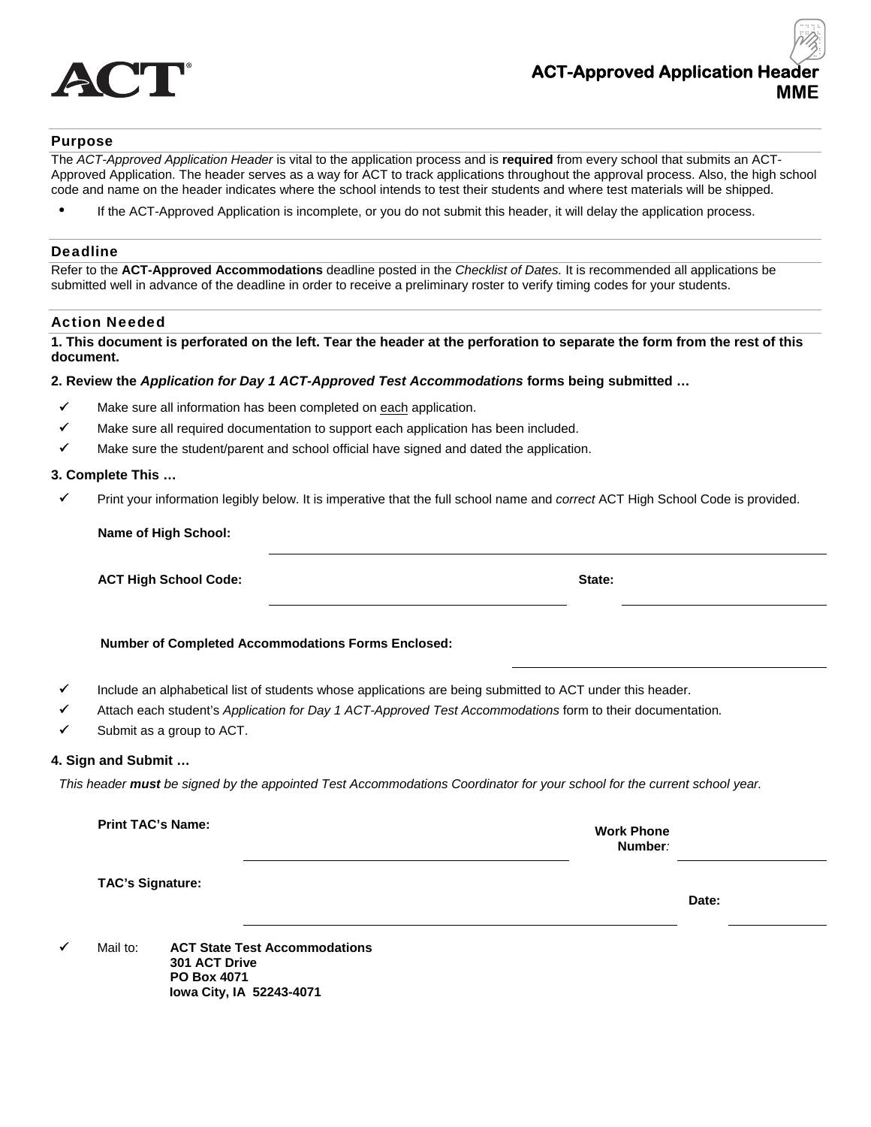

## Purpose

The *ACT-Approved Application Header* is vital to the application process and is **required** from every school that submits an ACT-Approved Application. The header serves as a way for ACT to track applications throughout the approval process. Also, the high school code and name on the header indicates where the school intends to test their students and where test materials will be shipped.

If the ACT-Approved Application is incomplete, or you do not submit this header, it will delay the application process.

#### Deadline

Refer to the **ACT-Approved Accommodations** deadline posted in the *Checklist of Dates.* It is recommended all applications be submitted well in advance of the deadline in order to receive a preliminary roster to verify timing codes for your students.

#### Action Needed

**1. This document is perforated on the left. Tear the header at the perforation to separate the form from the rest of this document.** 

#### **2. Review the** *Application for Day 1 ACT-Approved Test Accommodations* **forms being submitted …**

- $\checkmark$  Make sure all information has been completed on each application.
- $\checkmark$  Make sure all required documentation to support each application has been included.
- $\checkmark$  Make sure the student/parent and school official have signed and dated the application.

#### **3. Complete This …**

Print your information legibly below. It is imperative that the full school name and *correct* ACT High School Code is provided.

 **ACT High School Code:**  $\blacksquare$  State:  $\blacksquare$  State:  $\blacksquare$  State:  $\blacksquare$  State:  $\blacksquare$ 

 **Number of Completed Accommodations Forms Enclosed:** 

- $\checkmark$  Include an alphabetical list of students whose applications are being submitted to ACT under this header.
- Attach each student's *Application for Day 1 ACT-Approved Test Accommodations* form to their documentation*.*
- $\checkmark$  Submit as a group to ACT.

#### **4. Sign and Submit …**

*This header must be signed by the appointed Test Accommodations Coordinator for your school for the current school year.* 

| <b>Work Phone</b> |
|-------------------|
|                   |

**Number***:* 

 **TAC's Signature:** 

**Date:** 

 Mail to: **ACT State Test Accommodations 301 ACT Drive PO Box 4071 Iowa City, IA 52243-4071**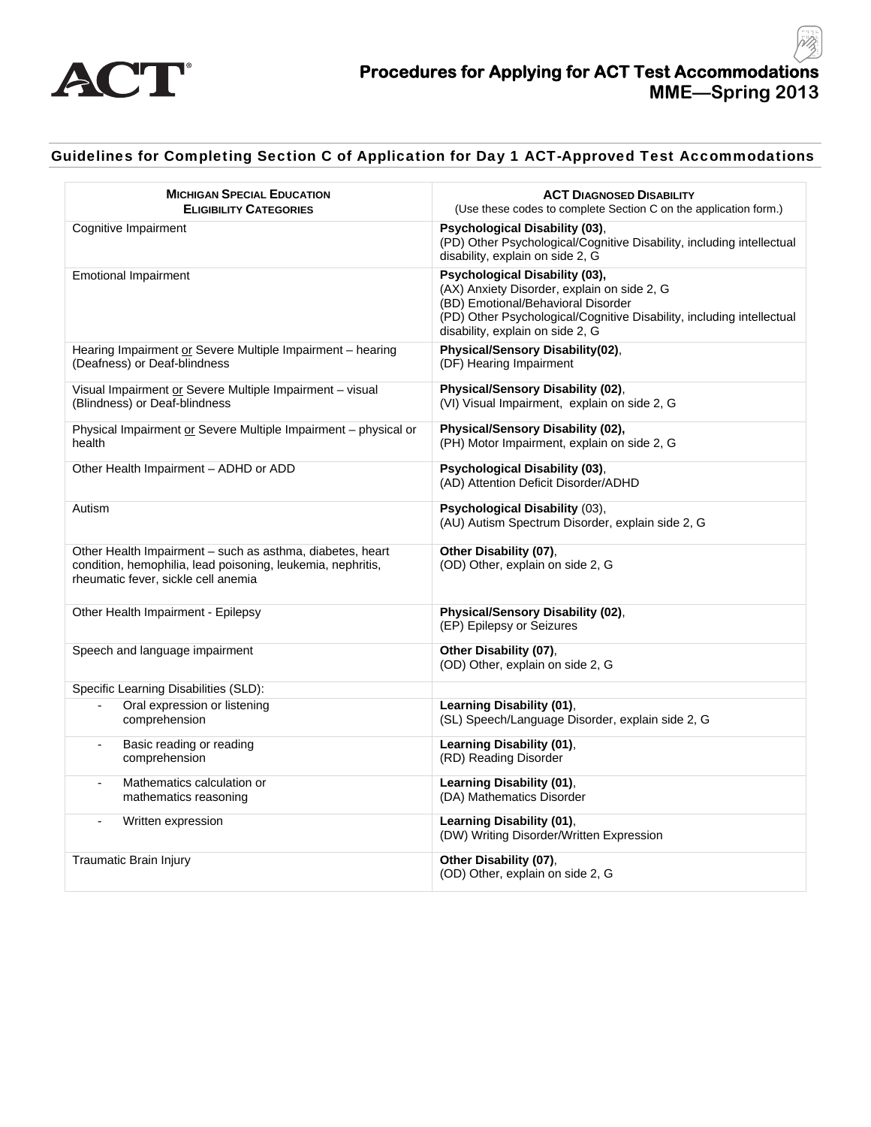

## Guidelines for Completing Section C of Application for Day 1 ACT-Approved Test Accommodations

| <b>MICHIGAN SPECIAL EDUCATION</b><br><b>ELIGIBILITY CATEGORIES</b>                                                                                              | <b>ACT DIAGNOSED DISABILITY</b><br>(Use these codes to complete Section C on the application form.)                                                                                                                              |
|-----------------------------------------------------------------------------------------------------------------------------------------------------------------|----------------------------------------------------------------------------------------------------------------------------------------------------------------------------------------------------------------------------------|
| Cognitive Impairment                                                                                                                                            | <b>Psychological Disability (03).</b><br>(PD) Other Psychological/Cognitive Disability, including intellectual<br>disability, explain on side 2, G                                                                               |
| <b>Emotional Impairment</b>                                                                                                                                     | Psychological Disability (03),<br>(AX) Anxiety Disorder, explain on side 2, G<br>(BD) Emotional/Behavioral Disorder<br>(PD) Other Psychological/Cognitive Disability, including intellectual<br>disability, explain on side 2, G |
| Hearing Impairment or Severe Multiple Impairment – hearing<br>(Deafness) or Deaf-blindness                                                                      | Physical/Sensory Disability(02),<br>(DF) Hearing Impairment                                                                                                                                                                      |
| Visual Impairment or Severe Multiple Impairment - visual<br>(Blindness) or Deaf-blindness                                                                       | Physical/Sensory Disability (02),<br>(VI) Visual Impairment, explain on side 2, G                                                                                                                                                |
| Physical Impairment or Severe Multiple Impairment - physical or<br>health                                                                                       | Physical/Sensory Disability (02),<br>(PH) Motor Impairment, explain on side 2, G                                                                                                                                                 |
| Other Health Impairment - ADHD or ADD                                                                                                                           | Psychological Disability (03),<br>(AD) Attention Deficit Disorder/ADHD                                                                                                                                                           |
| Autism                                                                                                                                                          | Psychological Disability (03),<br>(AU) Autism Spectrum Disorder, explain side 2, G                                                                                                                                               |
| Other Health Impairment - such as asthma, diabetes, heart<br>condition, hemophilia, lead poisoning, leukemia, nephritis,<br>rheumatic fever, sickle cell anemia | Other Disability (07),<br>(OD) Other, explain on side 2, G                                                                                                                                                                       |
| Other Health Impairment - Epilepsy                                                                                                                              | Physical/Sensory Disability (02),<br>(EP) Epilepsy or Seizures                                                                                                                                                                   |
| Speech and language impairment                                                                                                                                  | Other Disability (07),<br>(OD) Other, explain on side 2, G                                                                                                                                                                       |
| Specific Learning Disabilities (SLD):                                                                                                                           |                                                                                                                                                                                                                                  |
| Oral expression or listening<br>$\blacksquare$<br>comprehension                                                                                                 | Learning Disability (01),<br>(SL) Speech/Language Disorder, explain side 2, G                                                                                                                                                    |
| Basic reading or reading<br>$\blacksquare$<br>comprehension                                                                                                     | Learning Disability (01),<br>(RD) Reading Disorder                                                                                                                                                                               |
| Mathematics calculation or<br>$\blacksquare$<br>mathematics reasoning                                                                                           | Learning Disability (01),<br>(DA) Mathematics Disorder                                                                                                                                                                           |
| Written expression                                                                                                                                              | Learning Disability (01),<br>(DW) Writing Disorder/Written Expression                                                                                                                                                            |
| Traumatic Brain Injury                                                                                                                                          | Other Disability (07),<br>(OD) Other, explain on side 2, G                                                                                                                                                                       |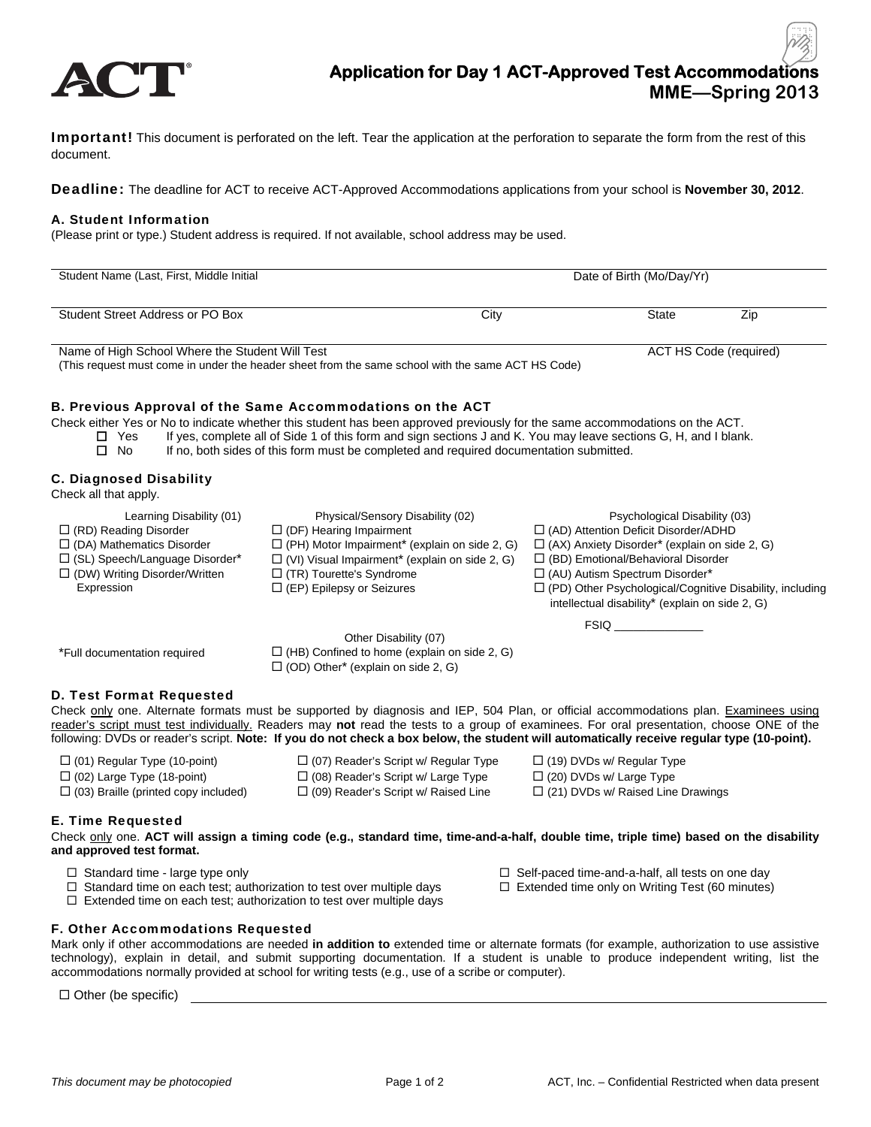

# **Application for Day 1 ACT-Approved Test Accommodations MME—Spring 2013**

**Important!** This document is perforated on the left. Tear the application at the perforation to separate the form from the rest of this document.

Deadline: The deadline for ACT to receive ACT-Approved Accommodations applications from your school is **November 30, 2012**.

#### A. Student Information

(Please print or type.) Student address is required. If not available, school address may be used.

| Student Name (Last, First, Middle Initial       | Date of Birth (Mo/Day/Yr) |       |                        |
|-------------------------------------------------|---------------------------|-------|------------------------|
| Student Street Address or PO Box                | City                      | State | Zip                    |
| Name of High School Where the Student Will Test |                           |       | ACT HS Code (required) |

Name of High School Where the Student Will Test (This request must come in under the header sheet from the same school with the same ACT HS Code)

#### B. Previous Approval of the Same Accommodations on the ACT

Check either Yes or No to indicate whether this student has been approved previously for the same accommodations on the ACT.<br>Thes If yes, complete all of Side 1 of this form and sign sections J and K. You may leave section

If yes, complete all of Side 1 of this form and sign sections J and K. You may leave sections G, H, and I blank.

 $\Box$  No If no, both sides of this form must be completed and required documentation submitted.

## C. Diagnosed Disability

Check all that apply.

Learning Disability (01) Physical/Sensory Disability (02) Psychological Disability (03) (RD) Reading Disorder (DF) Hearing Impairment (AD) Attention Deficit Disorder/ADHD  $\Box$  (DA) Mathematics Disorder  $\Box$  (SL) Speech/Language Disorder\*  $\Box$  (PH) Motor Impairment<sup>\*</sup> (explain on side 2, G)  $\Box$  (VI) Visual Impairment<sup>\*</sup> (explain on side 2, G)  $\Box$  (AX) Anxiety Disorder\* (explain on side 2, G) □ (BD) Emotional/Behavioral Disorder  $\Box$  (DW) Writing Disorder/Written Expression  $\Box$  (TR) Tourette's Syndrome (EP) Epilepsy or Seizures  $\Box$  (AU) Autism Spectrum Disorder\* (PD) Other Psychological/Cognitive Disability, including intellectual disability\* (explain on side 2, G)

Other Disability (07)

 $FSIQ$ <sub>\_\_\_</sub>

| *Full documentation required | $\Box$ (HB) Confined to home (explain on side 2, G)   |  |  |  |
|------------------------------|-------------------------------------------------------|--|--|--|
|                              | $\Box$ (OD) Other <sup>*</sup> (explain on side 2, G) |  |  |  |

## D. Test Format Requested

Check only one. Alternate formats must be supported by diagnosis and IEP, 504 Plan, or official accommodations plan. Examinees using reader's script must test individually. Readers may **not** read the tests to a group of examinees. For oral presentation, choose ONE of the following: DVDs or reader's script. **Note: If you do not check a box below, the student will automatically receive regular type (10-point).** 

- 
- $\Box$  (02) Large Type (18-point)  $\Box$  (08) Reader's Script w/ Large Type  $\Box$  (20) DVDs w/ Large Type
- $\Box$  (03) Braille (printed copy included)  $\Box$  (09) Reader's Script w/ Raised Line  $\Box$  (21) DVDs w/ Raised Line Drawings
- $\Box$  (01) Regular Type (10-point)  $\Box$  (07) Reader's Script w/ Regular Type  $\Box$  (19) DVDs w/ Regular Type
	-
	-
- 

E. Time Requested

Check only one. **ACT will assign a timing code (e.g., standard time, time-and-a-half, double time, triple time) based on the disability and approved test format.** 

- 
- □ Standard time large type only standard time large type only
- $\Box$  Standard time on each test; authorization to test over multiple days  $\Box$  Extended time only on Writing Test (60 minutes)
- $\Box$  Extended time on each test; authorization to test over multiple days

## F. Other Accommodations Requested

Mark only if other accommodations are needed **in addition to** extended time or alternate formats (for example, authorization to use assistive technology), explain in detail, and submit supporting documentation. If a student is unable to produce independent writing, list the accommodations normally provided at school for writing tests (e.g., use of a scribe or computer).

 $\Box$  Other (be specific)